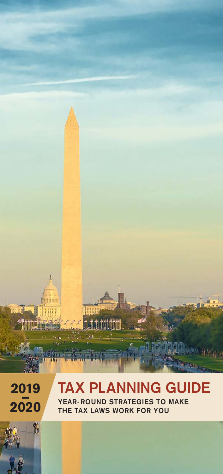

# 2019<br>2020

 $\gamma_{0}$ 

# **TAX PLANNING GUIDE**

**YEAR- ROUND STRATEGIES TO MAKE THE TAX LAWS WORK FOR YOU**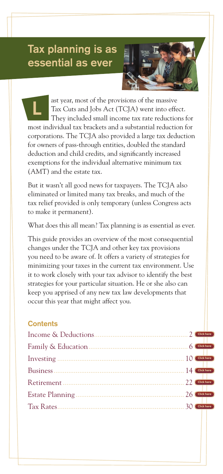## **Tax planning is as essential as ever**



ast year, most of the provisions of the massive Tax Cuts and Jobs Act (TCJA) went into effect. They included small income tax rate reductions for most individual tax brackets and a substantial reduction for corporations. The TCJA also provided a large tax deduction for owners of pass-through entities, doubled the standard deduction and child credits, and significantly increased exemptions for the individual alternative minimum tax (AMT) and the estate tax. **L**

But it wasn't all good news for taxpayers. The TCJA also eliminated or limited many tax breaks, and much of the tax relief provided is only temporary (unless Congress acts to make it permanent).

What does this all mean? Tax planning is as essential as ever.

This guide provides an overview of the most consequential changes under the TCJA and other key tax provisions you need to be aware of. It offers a variety of strategies for minimizing your taxes in the current tax environment. Use it to work closely with your tax advisor to identify the best strategies for your particular situation. He or she also can keep you apprised of any new tax law developments that occur this year that might affect you.

## **Contents**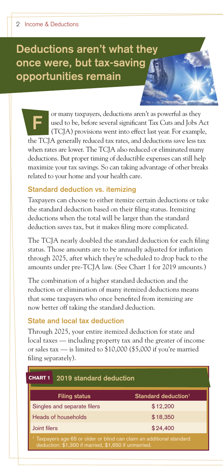# **Deductions aren't what they once were, but tax-saving opportunities remain**

or many taxpayers, deductions aren't as powerful as they used to be, before several significant Tax Cuts and Jobs Act (TCJA) provisions went into effect last year. For example, the TCJA generally reduced tax rates, and deductions save less tax when rates are lower. The TCJA also reduced or eliminated many deductions. But proper timing of deductible expenses can still help maximize your tax savings. So can taking advantage of other breaks related to your home and your health care. **F**

#### **Standard deduction vs. itemizing**

Taxpayers can choose to either itemize certain deductions or take the standard deduction based on their filing status. Itemizing deductions when the total will be larger than the standard deduction saves tax, but it makes filing more complicated.

The TCJA nearly doubled the standard deduction for each filing status. Those amounts are to be annually adjusted for inflation through 2025, after which they're scheduled to drop back to the amounts under pre-TCJA law. (See Chart 1 for 2019 amounts.)

The combination of a higher standard deduction and the reduction or elimination of many itemized deductions means that some taxpayers who once benefited from itemizing are now better off taking the standard deduction.

#### **State and local tax deduction**

Through 2025, your entire itemized deduction for state and local taxes — including property tax and the greater of income or sales tax — is limited to \$10,000 (\$5,000 if you're married filing separately).

| <b>CHART 1</b><br>2019 standard deduction                                                                                   |                                 |  |  |
|-----------------------------------------------------------------------------------------------------------------------------|---------------------------------|--|--|
| <b>Filing status</b>                                                                                                        | Standard deduction <sup>1</sup> |  |  |
| \$12,200<br>Singles and separate filers                                                                                     |                                 |  |  |
| Heads of households                                                                                                         | \$18,350                        |  |  |
| Joint filers                                                                                                                | \$24,400                        |  |  |
| Taxpayers age 65 or older or blind can claim an additional standard<br>deduction: \$1,300 if married, \$1,650 if unmarried. |                                 |  |  |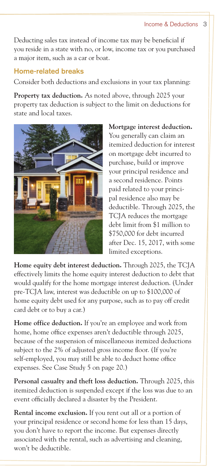#### Income & Deductions 3

Deducting sales tax instead of income tax may be beneficial if you reside in a state with no, or low, income tax or you purchased a major item, such as a car or boat.

#### **Home-related breaks**

Consider both deductions and exclusions in your tax planning:

**Property tax deduction.** As noted above, through 2025 your property tax deduction is subject to the limit on deductions for state and local taxes.



**Mortgage interest deduction.** You generally can claim an itemized deduction for interest on mortgage debt incurred to purchase, build or improve your principal residence and a second residence. Points paid related to your principal residence also may be deductible. Through 2025, the TCJA reduces the mortgage debt limit from \$1 million to \$750,000 for debt incurred after Dec. 15, 2017, with some limited exceptions.

**Home equity debt interest deduction.** Through 2025, the TCJA effectively limits the home equity interest deduction to debt that would qualify for the home mortgage interest deduction. (Under pre-TCJA law, interest was deductible on up to \$100,000 of home equity debt used for any purpose, such as to pay off credit card debt or to buy a car.)

**Home office deduction.** If you're an employee and work from home, home office expenses aren't deductible through 2025, because of the suspension of miscellaneous itemized deductions subject to the 2% of adjusted gross income floor. (If you're self-employed, you may still be able to deduct home office expenses. See Case Study 5 on page 20.)

**Personal casualty and theft loss deduction.** Through 2025, this itemized deduction is suspended except if the loss was due to an event officially declared a disaster by the President.

**Rental income exclusion.** If you rent out all or a portion of your principal residence or second home for less than 15 days, you don't have to report the income. But expenses directly associated with the rental, such as advertising and cleaning, won't be deductible.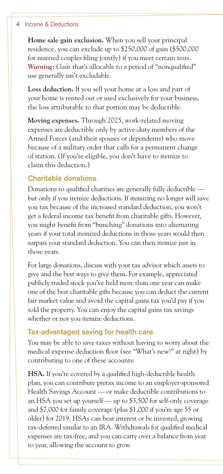#### 4 Income & Deductions

**Home sale gain exclusion.** When you sell your principal residence, you can exclude up to \$250,000 of gain (\$500,000 for married couples filing jointly) if you meet certain tests. *Warning:* Gain that's allocable to a period of "nonqualified" use generally isn't excludable.

**Loss deduction.** If you sell your home at a loss and part of your home is rented out or used exclusively for your business, the loss attributable to that portion may be deductible.

**Moving expenses.** Through 2025, work-related moving expenses are deductible only by active-duty members of the Armed Forces (and their spouses or dependents) who move because of a military order that calls for a permanent change of station. (If you're eligible, you don't have to itemize to claim this deduction.)

#### **Charitable donations**

Donations to qualified charities are generally fully deductible but only if you itemize deductions. If itemizing no longer will save you tax because of the increased standard deduction, you won't get a federal income tax benefit from charitable gifts. However, you might benefit from "bunching" donations into alternating years if your total itemized deductions in those years would then surpass your standard deduction. You can then itemize just in those years.

For large donations, discuss with your tax advisor which assets to give and the best ways to give them. For example, appreciated publicly traded stock you've held more than one year can make one of the best charitable gifts because you can deduct the current fair market value and avoid the capital gains tax you'd pay if you sold the property. You can enjoy the capital gains tax savings whether or not you itemize deductions.

#### **Tax-advantaged saving for health care**

You may be able to save taxes without having to worry about the medical expense deduction floor (see "What's new!" at right) by contributing to one of these accounts:

**HSA.** If you're covered by a qualified high-deductible health plan, you can contribute pretax income to an employer-sponsored Health Savings Account — or make deductible contributions to an HSA you set up yourself — up to \$3,500 for self-only coverage and \$7,000 for family coverage (plus \$1,000 if you're age 55 or older) for 2019. HSAs can bear interest or be invested, growing tax-deferred similar to an IRA. Withdrawals for qualified medical expenses are tax-free, and you can carry over a balance from year to year, allowing the account to grow.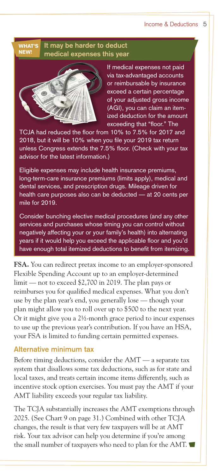#### **It may be harder to deduct medical expenses this year** WHAT'S NEW!



If medical expenses not paid via tax-advantaged accounts or reimbursable by insurance exceed a certain percentage of your adjusted gross income (AGI), you can claim an itemized deduction for the amount exceeding that "floor." The

TCJA had reduced the floor from 10% to 7.5% for 2017 and 2018, but it will be 10% when you file your 2019 tax return unless Congress extends the 7.5% floor. (Check with your tax advisor for the latest information.)

Eligible expenses may include health insurance premiums, long-term-care insurance premiums (limits apply), medical and dental services, and prescription drugs. Mileage driven for health care purposes also can be deducted — at 20 cents per mile for 2019.

Consider bunching elective medical procedures (and any other services and purchases whose timing you can control without negatively affecting your or your family's health) into alternating years if it would help you exceed the applicable floor and you'd have enough total itemized deductions to benefit from itemizing.

**FSA.** You can redirect pretax income to an employer-sponsored Flexible Spending Account up to an employer-determined limit — not to exceed \$2,700 in 2019. The plan pays or reimburses you for qualified medical expenses. What you don't use by the plan year's end, you generally lose — though your plan might allow you to roll over up to \$500 to the next year. Or it might give you a  $2\frac{1}{2}$ -month grace period to incur expenses to use up the previous year's contribution. If you have an HSA, your FSA is limited to funding certain permitted expenses.

#### **Alternative minimum tax**

Before timing deductions, consider the AMT — a separate tax system that disallows some tax deductions, such as for state and local taxes, and treats certain income items differently, such as incentive stock option exercises. You must pay the AMT if your AMT liability exceeds your regular tax liability.

The TCJA substantially increases the AMT exemptions through 2025. (See Chart 9 on page 31.) Combined with other TCJA changes, the result is that very few taxpayers will be at AMT risk. Your tax advisor can help you determine if you're among the small number of taxpayers who need to plan for the AMT.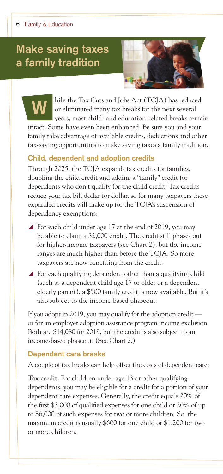# **Make saving taxes a family tradition**



hile the Tax Cuts and Jobs Act (TCJA) has reduced or eliminated many tax breaks for the next several years, most child- and education-related breaks remain intact. Some have even been enhanced. Be sure you and your family take advantage of available credits, deductions and other tax-saving opportunities to make saving taxes a family tradition. **W**

## **Child, dependent and adoption credits**

Through 2025, the TCJA expands tax credits for families, doubling the child credit and adding a "family" credit for dependents who don't qualify for the child credit. Tax credits reduce your tax bill dollar for dollar, so for many taxpayers these expanded credits will make up for the TCJA's suspension of dependency exemptions:

- ▲ For each child under age 17 at the end of 2019, you may be able to claim a \$2,000 credit. The credit still phases out for higher-income taxpayers (see Chart 2), but the income ranges are much higher than before the TCJA. So more taxpayers are now benefiting from the credit.
- $\blacktriangle$  For each qualifying dependent other than a qualifying child (such as a dependent child age 17 or older or a dependent elderly parent), a \$500 family credit is now available. But it's also subject to the income-based phaseout.

If you adopt in 2019, you may qualify for the adoption credit or for an employer adoption assistance program income exclusion. Both are \$14,080 for 2019, but the credit is also subject to an income-based phaseout. (See Chart 2.)

#### **Dependent care breaks**

A couple of tax breaks can help offset the costs of dependent care:

**Tax credit.** For children under age 13 or other qualifying dependents, you may be eligible for a credit for a portion of your dependent care expenses. Generally, the credit equals 20% of the first \$3,000 of qualified expenses for one child or 20% of up to \$6,000 of such expenses for two or more children. So, the maximum credit is usually \$600 for one child or \$1,200 for two or more children.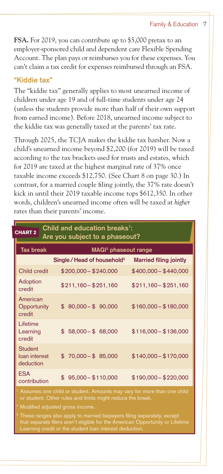**FSA.** For 2019, you can contribute up to \$5,000 pretax to an employer-sponsored child and dependent care Flexible Spending Account. The plan pays or reimburses you for these expenses. You can't claim a tax credit for expenses reimbursed through an FSA.

## **"Kiddie tax"**

The "kiddie tax" generally applies to most unearned income of children under age 19 and of full-time students under age 24 (unless the students provide more than half of their own support from earned income). Before 2018, unearned income subject to the kiddie tax was generally taxed at the parents' tax rate.

Through 2025, the TCJA makes the kiddie tax harsher. Now a child's unearned income beyond \$2,200 (for 2019) will be taxed according to the tax brackets used for trusts and estates, which for 2019 are taxed at the highest marginal rate of 37% once taxable income exceeds \$12,750. (See Chart 8 on page 30.) In contrast, for a married couple filing jointly, the 37% rate doesn't kick in until their 2019 taxable income tops \$612,350. In other words, children's unearned income often will be taxed at *higher* rates than their parents' income.

| Child and education breaks <sup>1</sup> :<br><b>CHART 2</b><br>Are you subject to a phaseout? |                                         |                               |  |  |
|-----------------------------------------------------------------------------------------------|-----------------------------------------|-------------------------------|--|--|
| <b>Tax break</b>                                                                              | MAGI <sup>2</sup> phaseout range        |                               |  |  |
|                                                                                               | Single / Head of household <sup>3</sup> | <b>Married filing jointly</b> |  |  |
| Child credit                                                                                  | $$200,000 - $240,000$                   | $$400,000 - $440,000$         |  |  |
| Adoption<br>credit                                                                            | $$211,160 - $251,160$                   | $$211,160 - $251,160$         |  |  |
| American<br>Opportunity<br>credit                                                             | $$80,000 - $90,000$                     | $$160,000 - $180,000$         |  |  |
| I ifetime<br>Learning<br>credit                                                               | $58,000 - $68,000$<br>\$                | $$116,000 - $136,000$         |  |  |
| <b>Student</b><br>loan interest<br>deduction                                                  | $$70,000 - $85,000$                     | $$140,000 - $170,000$         |  |  |
| <b>FSA</b><br>contribution                                                                    | $$95,000 - $110,000$                    | $$190,000 - $220,000$         |  |  |

Modified adjusted gross income.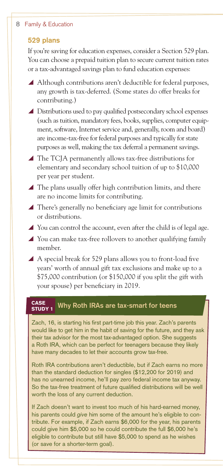#### 8 Family & Education

#### **529 plans**

If you're saving for education expenses, consider a Section 529 plan. You can choose a prepaid tuition plan to secure current tuition rates or a tax-advantaged savings plan to fund education expenses:

- $\blacktriangle$  Although contributions aren't deductible for federal purposes, any growth is tax-deferred. (Some states do offer breaks for contributing.)
- $\blacktriangle$  Distributions used to pay qualified postsecondary school expenses (such as tuition, mandatory fees, books, supplies, computer equipment, software, Internet service and, generally, room and board) are income-tax-free for federal purposes and typically for state purposes as well, making the tax deferral a permanent savings.
- $\blacktriangle$  The TCJA permanently allows tax-free distributions for elementary and secondary school tuition of up to \$10,000 per year per student.
- $\blacktriangle$  The plans usually offer high contribution limits, and there are no income limits for contributing.
- $\blacktriangle$  There's generally no beneficiary age limit for contributions or distributions.
- $\blacktriangle$  You can control the account, even after the child is of legal age.
- $\blacktriangle$  You can make tax-free rollovers to another qualifying family member.
- $\blacktriangle$  A special break for 529 plans allows you to front-load five years' worth of annual gift tax exclusions and make up to a \$75,000 contribution (or \$150,000 if you split the gift with your spouse) per beneficiary in 2019.

#### **CASE** Why Roth IRAs are tax-smart for teens STUDY 1

Zach, 16, is starting his first part-time job this year. Zach's parents would like to get him in the habit of saving for the future, and they ask their tax advisor for the most tax-advantaged option. She suggests a Roth IRA, which can be perfect for teenagers because they likely have many decades to let their accounts grow tax-free.

Roth IRA contributions aren't deductible, but if Zach earns no more than the standard deduction for singles (\$12,200 for 2019) and has no unearned income, he'll pay zero federal income tax anyway. So the tax-free treatment of future qualified distributions will be well worth the loss of any current deduction.

If Zach doesn't want to invest too much of his hard-earned money, his parents could *give* him some of the amount he's eligible to contribute. For example, if Zach earns \$6,000 for the year, his parents could give him \$5,000 so he could contribute the full \$6,000 he's eligible to contribute but still have \$5,000 to spend as he wishes (or save for a shorter-term goal).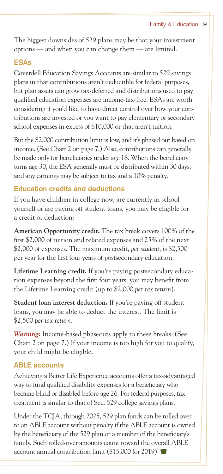The biggest downsides of 529 plans may be that your investment options — and when you can change them — are limited.

#### **ESAs**

Coverdell Education Savings Accounts are similar to 529 savings plans in that contributions aren't deductible for federal purposes, but plan assets can grow tax-deferred and distributions used to pay qualified education expenses are income-tax-free. ESAs are worth considering if you'd like to have direct control over how your contributions are invested or you want to pay elementary or secondary school expenses in excess of \$10,000 or that aren't tuition.

But the \$2,000 contribution limit is low, and it's phased out based on income. (See Chart 2 on page 7.) Also, contributions can generally be made only for beneficiaries under age 18. When the beneficiary turns age 30, the ESA generally must be distributed within 30 days, and any earnings may be subject to tax and a 10% penalty.

## **Education credits and deductions**

If you have children in college now, are currently in school yourself or are paying off student loans, you may be eligible for a credit or deduction:

**American Opportunity credit.** The tax break covers 100% of the first \$2,000 of tuition and related expenses and 25% of the next \$2,000 of expenses. The maximum credit, *per student*, is \$2,500 per year for the first four years of postsecondary education.

**Lifetime Learning credit.** If you're paying postsecondary education expenses beyond the first four years, you may benefit from the Lifetime Learning credit (up to \$2,000 *per tax return*).

**Student loan interest deduction.** If you're paying off student loans, you may be able to deduct the interest. The limit is \$2,500 *per tax return*.

*Warning:* Income-based phaseouts apply to these breaks. (See Chart 2 on page 7.) If your income is too high for you to qualify, your child might be eligible.

## **ABLE accounts**

Achieving a Better Life Experience accounts offer a tax-advantaged way to fund qualified disability expenses for a beneficiary who became blind or disabled before age 26. For federal purposes, tax treatment is similar to that of Sec. 529 college savings plans.

Under the TCJA, through 2025, 529 plan funds can be rolled over to an ABLE account without penalty if the ABLE account is owned by the beneficiary of the 529 plan or a member of the beneficiary's family. Such rolled-over amounts count toward the overall ABLE account annual contribution limit (\$15,000 for 2019).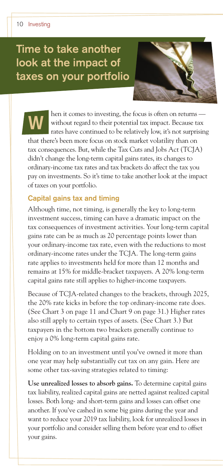# **Time to take another look at the impact of taxes on your portfolio**



hen it comes to investing, the focus is often on returns without regard to their potential tax impact. Because tax rates have continued to be relatively low, it's not surprising that there's been more focus on stock market volatility than on tax consequences. But, while the Tax Cuts and Jobs Act (TCJA) didn't change the long-term capital gains rates, its changes to ordinary-income tax rates and tax brackets do affect the tax you pay on investments. So it's time to take another look at the impact of taxes on your portfolio. **W**

#### **Capital gains tax and timing**

Although time, not timing, is generally the key to long-term investment success, timing can have a dramatic impact on the tax consequences of investment activities. Your long-term capital gains rate can be as much as 20 percentage points lower than your ordinary-income tax rate, even with the reductions to most ordinary-income rates under the TCJA. The long-term gains rate applies to investments held for more than 12 months and remains at 15% for middle-bracket taxpayers. A 20% long-term capital gains rate still applies to higher-income taxpayers.

Because of TCJA-related changes to the brackets, through 2025, the 20% rate kicks in before the top ordinary-income rate does. (See Chart 3 on page 11 and Chart 9 on page 31.) Higher rates also still apply to certain types of assets. (See Chart 3.) But taxpayers in the bottom two brackets generally continue to enjoy a 0% long-term capital gains rate.

Holding on to an investment until you've owned it more than one year may help substantially cut tax on any gain. Here are some other tax-saving strategies related to timing:

**Use unrealized losses to absorb gains.** To determine capital gains tax liability, realized capital gains are netted against realized capital losses. Both long- and short-term gains and losses can offset one another. If you've cashed in some big gains during the year and want to reduce your 2019 tax liability, look for unrealized losses in your portfolio and consider selling them before year end to offset your gains.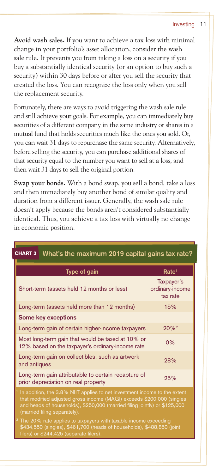#### Investing 11

**Avoid wash sales.** If you want to achieve a tax loss with minimal change in your portfolio's asset allocation, consider the wash sale rule. It prevents you from taking a loss on a security if you buy a substantially identical security (or an option to buy such a security) within 30 days before or after you sell the security that created the loss. You can recognize the loss only when you sell the replacement security.

Fortunately, there are ways to avoid triggering the wash sale rule and still achieve your goals. For example, you can immediately buy securities of a different company in the same industry or shares in a mutual fund that holds securities much like the ones you sold. Or, you can wait 31 days to repurchase the same security. Alternatively, before selling the security, you can purchase additional shares of that security equal to the number you want to sell at a loss, and then wait 31 days to sell the original portion.

**Swap your bonds.** With a bond swap, you sell a bond, take a loss and then immediately buy another bond of similar quality and duration from a different issuer. Generally, the wash sale rule doesn't apply because the bonds aren't considered substantially identical. Thus, you achieve a tax loss with virtually no change in economic position.

| What's the maximum 2019 capital gains tax rate?<br><b>CHART 3</b>                                                                                                                                                                                                                                                                                                                                                                                                    |                                           |  |  |  |
|----------------------------------------------------------------------------------------------------------------------------------------------------------------------------------------------------------------------------------------------------------------------------------------------------------------------------------------------------------------------------------------------------------------------------------------------------------------------|-------------------------------------------|--|--|--|
| Type of gain                                                                                                                                                                                                                                                                                                                                                                                                                                                         | Rate <sup>1</sup>                         |  |  |  |
| Short-term (assets held 12 months or less)                                                                                                                                                                                                                                                                                                                                                                                                                           | Taxpayer's<br>ordinary-income<br>tax rate |  |  |  |
| Long-term (assets held more than 12 months)                                                                                                                                                                                                                                                                                                                                                                                                                          | 15%                                       |  |  |  |
| Some key exceptions                                                                                                                                                                                                                                                                                                                                                                                                                                                  |                                           |  |  |  |
| Long-term gain of certain higher-income taxpayers                                                                                                                                                                                                                                                                                                                                                                                                                    | $20%$ <sup>2</sup>                        |  |  |  |
| Most long-term gain that would be taxed at 10% or<br>12% based on the taxpayer's ordinary-income rate                                                                                                                                                                                                                                                                                                                                                                | 0%                                        |  |  |  |
| Long-term gain on collectibles, such as artwork<br>and antiques                                                                                                                                                                                                                                                                                                                                                                                                      | 28%                                       |  |  |  |
| Long-term gain attributable to certain recapture of<br>prior depreciation on real property                                                                                                                                                                                                                                                                                                                                                                           | 25%                                       |  |  |  |
| In addition, the 3.8% NIIT applies to net investment income to the extent<br>that modified adjusted gross income (MAGI) exceeds \$200,000 (singles<br>and heads of households), \$250,000 (married filing jointly) or \$125,000<br>(married filing separately).<br><sup>2</sup> The 20% rate applies to taxpayers with taxable income exceeding<br>\$434,550 (singles), \$461,700 (heads of households), \$488,850 (joint<br>filers) or \$244,425 (separate filers). |                                           |  |  |  |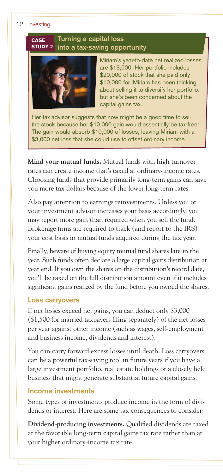#### 12 Investing

#### **Turning a capital loss into a tax-saving opportunity CASE** STUDY 2



Miriam's year-to-date net realized losses are \$13,000. Her portfolio includes \$20,000 of stock that she paid only \$10,000 for. Miriam has been thinking about selling it to diversify her portfolio, but she's been concerned about the capital gains tax.

Her tax advisor suggests that now might be a good time to sell the stock because her \$10,000 gain would essentially be tax-free: The gain would absorb \$10,000 of losses, leaving Miriam with a \$3,000 net loss that she could use to offset ordinary income.

**Mind your mutual funds.** Mutual funds with high turnover rates can create income that's taxed at ordinary-income rates. Choosing funds that provide primarily long-term gains can save you more tax dollars because of the lower long-term rates.

Also pay attention to earnings reinvestments. Unless you or your investment advisor increases your basis accordingly, you may report more gain than required when you sell the fund. Brokerage firms are required to track (and report to the IRS) your cost basis in mutual funds acquired during the tax year.

Finally, beware of buying equity mutual fund shares late in the year. Such funds often declare a large capital gains distribution at year end. If you own the shares on the distribution's record date, you'll be taxed on the full distribution amount even if it includes significant gains realized by the fund before you owned the shares.

#### **Loss carryovers**

If net losses exceed net gains, you can deduct only \$3,000 (\$1,500 for married taxpayers filing separately) of the net losses per year against other income (such as wages, self-employment and business income, dividends and interest).

You can carry forward excess losses until death. Loss carryovers can be a powerful tax-saving tool in future years if you have a large investment portfolio, real estate holdings or a closely held business that might generate substantial future capital gains.

#### **Income investments**

Some types of investments produce income in the form of dividends or interest. Here are some tax consequences to consider:

**Dividend-producing investments.** Qualified dividends are taxed at the favorable long-term capital gains tax rate rather than at your higher ordinary-income tax rate.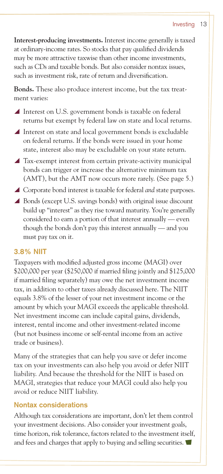**Interest-producing investments.** Interest income generally is taxed at ordinary-income rates. So stocks that pay qualified dividends may be more attractive taxwise than other income investments, such as CDs and taxable bonds. But also consider nontax issues, such as investment risk, rate of return and diversification.

**Bonds.** These also produce interest income, but the tax treatment varies:

- $\blacktriangle$  Interest on U.S. government bonds is taxable on federal returns but exempt by federal law on state and local returns.
- $\blacktriangle$  Interest on state and local government bonds is excludable on federal returns. If the bonds were issued in your home state, interest also may be excludable on your state return.
- $\blacktriangle$  Tax-exempt interest from certain private-activity municipal bonds can trigger or increase the alternative minimum tax (AMT), but the AMT now occurs more rarely. (See page 5.)
- ▲ Corporate bond interest is taxable for federal *and* state purposes.
- ▲ Bonds (except U.S. savings bonds) with original issue discount build up "interest" as they rise toward maturity. You're generally considered to earn a portion of that interest annually — even though the bonds don't pay this interest annually — and you must pay tax on it.

#### **3.8% NIIT**

Taxpayers with modified adjusted gross income (MAGI) over \$200,000 per year (\$250,000 if married filing jointly and \$125,000 if married filing separately) may owe the net investment income tax, in addition to other taxes already discussed here. The NIIT equals 3.8% of the lesser of your net investment income or the amount by which your MAGI exceeds the applicable threshold. Net investment income can include capital gains, dividends, interest, rental income and other investment-related income (but not business income or self-rental income from an active trade or business).

Many of the strategies that can help you save or defer income tax on your investments can also help you avoid or defer NIIT liability. And because the threshold for the NIIT is based on MAGI, strategies that reduce your MAGI could also help you avoid or reduce NIIT liability.

#### **Nontax considerations**

Although tax considerations are important, don't let them control your investment decisions. Also consider your investment goals, time horizon, risk tolerance, factors related to the investment itself, and fees and charges that apply to buying and selling securities.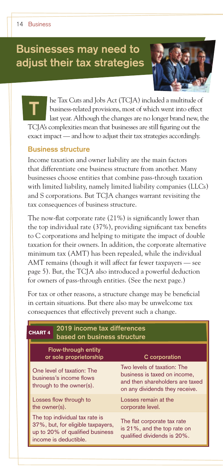# **Businesses may need to adjust their tax strategies**



he Tax Cuts and Jobs Act (TCJA) included a multitude of business-related provisions, most of which went into effect last year. Although the changes are no longer brand new, the TCJA's complexities mean that businesses are still figuring out the exact impact — and how to adjust their tax strategies accordingly. **T**

#### **Business structure**

Income taxation and owner liability are the main factors that differentiate one business structure from another. Many businesses choose entities that combine pass-through taxation with limited liability, namely limited liability companies (LLCs) and S corporations. But TCJA changes warrant revisiting the tax consequences of business structure.

The now-flat corporate rate (21%) is significantly lower than the top individual rate (37%), providing significant tax benefits to C corporations and helping to mitigate the impact of double taxation for their owners. In addition, the corporate alternative minimum tax (AMT) has been repealed, while the individual AMT remains (though it will affect far fewer taxpayers — see page 5). But, the TCJA also introduced a powerful deduction for owners of pass-through entities. (See the next page.)

For tax or other reasons, a structure change may be beneficial in certain situations. But there also may be unwelcome tax consequences that effectively prevent such a change.

| 2019 income tax differences<br><b>CHART 4</b><br>based on business structure                                                    |                                                                                                                                  |  |  |
|---------------------------------------------------------------------------------------------------------------------------------|----------------------------------------------------------------------------------------------------------------------------------|--|--|
| <b>Flow-through entity</b><br>or sole proprietorship                                                                            | C corporation                                                                                                                    |  |  |
| One level of taxation: The<br>business's income flows<br>through to the owner(s).                                               | Two levels of taxation: The<br>business is taxed on income,<br>and then shareholders are taxed<br>on any dividends they receive. |  |  |
| Losses flow through to<br>the owner(s).                                                                                         | Losses remain at the<br>corporate level.                                                                                         |  |  |
| The top individual tax rate is<br>37%, but, for eligible taxpayers,<br>up to 20% of qualified business<br>income is deductible. | The flat corporate tax rate<br>is 21%, and the top rate on<br>qualified dividends is 20%.                                        |  |  |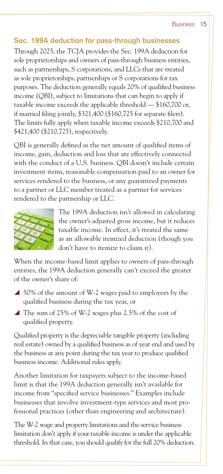## **Sec. 199A deduction for pass-through businesses**

Through 2025, the TCJA provides the Sec. 199A deduction for sole proprietorships and owners of pass-through business entities, such as partnerships, S corporations, and LLCs that are treated as sole proprietorships, partnerships or S corporations for tax purposes. The deduction generally equals 20% of qualified business income (QBI), subject to limitations that can begin to apply if taxable income exceeds the applicable threshold — \$160,700 or, if married filing jointly, \$321,400 (\$160,725 for separate filers). The limits fully apply when taxable income exceeds \$210,700 and \$421,400 (\$210,725), respectively.

QBI is generally defined as the net amount of qualified items of income, gain, deduction and loss that are effectively connected with the conduct of a U.S. business. QBI doesn't include certain investment items, reasonable compensation paid to an owner for services rendered to the business, or any guaranteed payments to a partner or LLC member treated as a partner for services rendered to the partnership or LLC.



The 199A deduction isn't allowed in calculating the owner's adjusted gross income, but it reduces taxable income. In effect, it's treated the same as an allowable itemized deduction (though you don't have to itemize to claim it).

When the income-based limit applies to owners of pass-through entities, the 199A deduction generally can't exceed the greater of the owner's share of:

- $\triangle$  50% of the amount of W-2 wages paid to employees by the qualified business during the tax year, or
- $\triangle$  The sum of 25% of W-2 wages plus 2.5% of the cost of qualified property.

Qualified property is the depreciable tangible property (including real estate) owned by a qualified business as of year end and used by the business at any point during the tax year to produce qualified business income. Additional rules apply.

Another limitation for taxpayers subject to the income-based limit is that the 199A deduction generally isn't available for income from "specified service businesses." Examples include businesses that involve investment-type services and most professional practices (other than engineering and architecture).

The W-2 wage and property limitations and the service business limitation don't apply if your taxable income is under the applicable threshold. In that case, you should qualify for the full 20% deduction.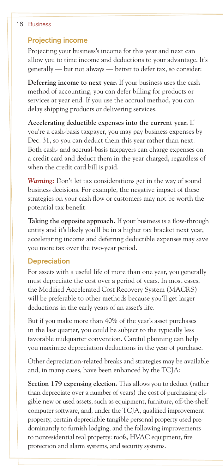#### 16 Business

#### **Projecting income**

Projecting your business's income for this year and next can allow you to time income and deductions to your advantage. It's generally — but not always — better to defer tax, so consider:

**Deferring income to next year.** If your business uses the cash method of accounting, you can defer billing for products or services at year end. If you use the accrual method, you can delay shipping products or delivering services.

**Accelerating deductible expenses into the current year.** If you're a cash-basis taxpayer, you may pay business expenses by Dec. 31, so you can deduct them this year rather than next. Both cash- and accrual-basis taxpayers can charge expenses on a credit card and deduct them in the year charged, regardless of when the credit card bill is paid.

*Warning:* Don't let tax considerations get in the way of sound business decisions. For example, the negative impact of these strategies on your cash flow or customers may not be worth the potential tax benefit.

**Taking the opposite approach.** If your business is a flow-through entity and it's likely you'll be in a higher tax bracket next year, accelerating income and deferring deductible expenses may save you more tax over the two-year period.

#### **Depreciation**

For assets with a useful life of more than one year, you generally must depreciate the cost over a period of years. In most cases, the Modified Accelerated Cost Recovery System (MACRS) will be preferable to other methods because you'll get larger deductions in the early years of an asset's life.

But if you make more than 40% of the year's asset purchases in the last quarter, you could be subject to the typically less favorable midquarter convention. Careful planning can help you maximize depreciation deductions in the year of purchase.

Other depreciation-related breaks and strategies may be available and, in many cases, have been enhanced by the TCJA:

**Section 179 expensing election.** This allows you to deduct (rather than depreciate over a number of years) the cost of purchasing eligible new or used assets, such as equipment, furniture, off-the-shelf computer software, and, under the TCJA, qualified improvement property, certain depreciable tangible personal property used predominantly to furnish lodging, and the following improvements to nonresidential real property: roofs, HVAC equipment, fire protection and alarm systems, and security systems.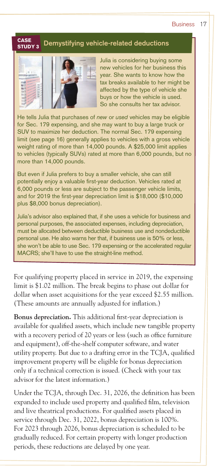#### **Business**

#### **CASE**<br>exiloxa Demystifying vehicle-related deductions STUDY 3



Julia is considering buying some new vehicles for her business this year. She wants to know how the tax breaks available to her might be affected by the type of vehicle she buys or how the vehicle is used. So she consults her tax advisor.

He tells Julia that purchases of *new* or *used* vehicles may be eligible for Sec. 179 expensing, and she may want to buy a large truck or SUV to maximize her deduction. The normal Sec. 179 expensing limit (see page 16) generally applies to vehicles with a gross vehicle weight rating of more than 14,000 pounds. A \$25,000 limit applies to vehicles (typically SUVs) rated at more than 6,000 pounds, but no more than 14,000 pounds.

But even if Julia prefers to buy a smaller vehicle, she can still potentially enjoy a valuable first-year deduction. Vehicles rated at 6,000 pounds or less are subject to the passenger vehicle limits, and for 2019 the first-year depreciation limit is \$18,000 (\$10,000 plus \$8,000 bonus depreciation).

Julia's advisor also explained that, if she uses a vehicle for business and personal purposes, the associated expenses, including depreciation, must be allocated between deductible business use and nondeductible personal use. He also warns her that, if business use is 50% or less, she won't be able to use Sec. 179 expensing or the accelerated regular MACRS; she'll have to use the straight-line method.

For qualifying property placed in service in 2019, the expensing limit is \$1.02 million. The break begins to phase out dollar for dollar when asset acquisitions for the year exceed \$2.55 million. (These amounts are annually adjusted for inflation.)

**Bonus depreciation.** This additional first-year depreciation is available for qualified assets, which include new tangible property with a recovery period of 20 years or less (such as office furniture and equipment), off-the-shelf computer software, and water utility property. But due to a drafting error in the TCJA, qualified improvement property will be eligible for bonus depreciation only if a technical correction is issued. (Check with your tax advisor for the latest information.)

Under the TCJA, through Dec. 31, 2026, the definition has been expanded to include used property and qualified film, television and live theatrical productions. For qualified assets placed in service through Dec. 31, 2022, bonus depreciation is 100%. For 2023 through 2026, bonus depreciation is scheduled to be gradually reduced. For certain property with longer production periods, these reductions are delayed by one year.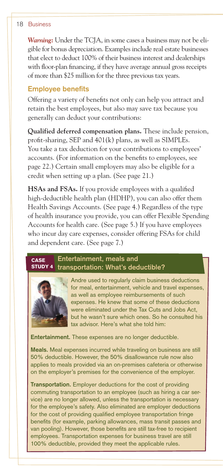#### 18 Business

*Warning:* Under the TCJA, in some cases a business may not be eligible for bonus depreciation. Examples include real estate businesses that elect to deduct 100% of their business interest and dealerships with floor-plan financing, if they have average annual gross receipts of more than \$25 million for the three previous tax years.

#### **Employee benefits**

Offering a variety of benefits not only can help you attract and retain the best employees, but also may save tax because you generally can deduct your contributions:

**Qualified deferred compensation plans.** These include pension, profit-sharing, SEP and 401(k) plans, as well as SIMPLEs. You take a tax deduction for your contributions to employees' accounts. (For information on the benefits to employees, see page 22.) Certain small employers may also be eligible for a credit when setting up a plan. (See page 21.)

**HSAs and FSAs.** If you provide employees with a qualified high-deductible health plan (HDHP), you can also offer them Health Savings Accounts. (See page 4.) Regardless of the type of health insurance you provide, you can offer Flexible Spending Accounts for health care. (See page 5.) If you have employees who incur day care expenses, consider offering FSAs for child and dependent care. (See page 7.)

#### **Entertainment, meals and transportation: What's deductible?** CASE STUDY 4



Andre used to regularly claim business deductions for meal, entertainment, vehicle and travel expenses, as well as employee reimbursements of such expenses. He knew that some of these deductions were eliminated under the Tax Cuts and Jobs Act, but he wasn't sure which ones. So he consulted his tax advisor. Here's what she told him:

**Entertainment.** These expenses are no longer deductible.

**Meals.** Meal expenses incurred while traveling on business are still 50% deductible. However, the 50% disallowance rule now also applies to meals provided via an on-premises cafeteria or otherwise on the employer's premises for the convenience of the employer.

**Transportation.** Employer deductions for the cost of providing commuting transportation to an employee (such as hiring a car service) are no longer allowed, unless the transportation is necessary for the employee's safety. Also eliminated are employer deductions for the cost of providing qualified employee transportation fringe benefits (for example, parking allowances, mass transit passes and van pooling). However, those benefits are still tax-free to recipient employees. Transportation expenses for business travel are still 100% deductible, provided they meet the applicable rules.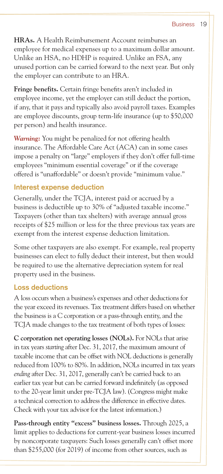**HRAs.** A Health Reimbursement Account reimburses an employee for medical expenses up to a maximum dollar amount. Unlike an HSA, no HDHP is required. Unlike an FSA, any unused portion can be carried forward to the next year. But only the employer can contribute to an HRA.

**Fringe benefits.** Certain fringe benefits aren't included in employee income, yet the employer can still deduct the portion, if any, that it pays and typically also avoid payroll taxes. Examples are employee discounts, group term-life insurance (up to \$50,000 per person) and health insurance.

*Warning:* You might be penalized for not offering health insurance. The Affordable Care Act (ACA) can in some cases impose a penalty on "large" employers if they don't offer full-time employees "minimum essential coverage" or if the coverage offered is "unaffordable" or doesn't provide "minimum value."

## **Interest expense deduction**

Generally, under the TCJA, interest paid or accrued by a business is deductible up to 30% of "adjusted taxable income." Taxpayers (other than tax shelters) with average annual gross receipts of \$25 million or less for the three previous tax years are exempt from the interest expense deduction limitation.

Some other taxpayers are also exempt. For example, real property businesses can elect to fully deduct their interest, but then would be required to use the alternative depreciation system for real property used in the business.

## **Loss deductions**

A loss occurs when a business's expenses and other deductions for the year exceed its revenues. Tax treatment differs based on whether the business is a C corporation or a pass-through entity, and the TCJA made changes to the tax treatment of both types of losses:

**C corporation net operating losses (NOLs).** For NOLs that arise in tax years *starting* after Dec. 31, 2017, the maximum amount of taxable income that can be offset with NOL deductions is generally reduced from 100% to 80%. In addition, NOLs incurred in tax years *ending* after Dec. 31, 2017, generally can't be carried back to an earlier tax year but can be carried forward indefinitely (as opposed to the 20-year limit under pre-TCJA law). (Congress might make a technical correction to address the difference in effective dates. Check with your tax advisor for the latest information.)

**Pass-through entity "excess" business losses.** Through 2025, a limit applies to deductions for current-year business losses incurred by noncorporate taxpayers: Such losses generally can't offset more than \$255,000 (for 2019) of income from other sources, such as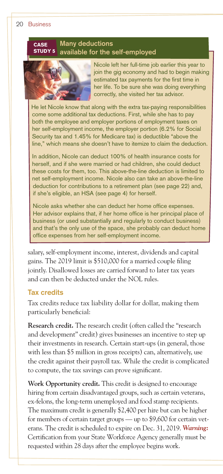#### **Many deductions available for the self-employed CASE** STUDY 5



Nicole left her full-time job earlier this year to join the gig economy and had to begin making estimated tax payments for the first time in her life. To be sure she was doing everything correctly, she visited her tax advisor.

He let Nicole know that along with the extra tax-paying responsibilities come some additional tax deductions. First, while she has to pay both the employee and employer portions of employment taxes on her self-employment income, the employer portion (6.2% for Social Security tax and 1.45% for Medicare tax) is deductible "above the line," which means she doesn't have to itemize to claim the deduction.

In addition, Nicole can deduct 100% of health insurance costs for herself, and if she were married or had children, she could deduct these costs for them, too. This above-the-line deduction is limited to net self-employment income. Nicole also can take an above-the-line deduction for contributions to a retirement plan (see page 22) and, if she's eligible, an HSA (see page 4) for herself.

Nicole asks whether she can deduct her home office expenses. Her advisor explains that, if her home office is her principal place of business (or used substantially and regularly to conduct business) and that's the only use of the space, she probably can deduct home office expenses from her self-employment income.

salary, self-employment income, interest, dividends and capital gains. The 2019 limit is \$510,000 for a married couple filing jointly. Disallowed losses are carried forward to later tax years and can then be deducted under the NOL rules.

#### **Tax credits**

Tax credits reduce tax liability dollar for dollar, making them particularly beneficial:

**Research credit.** The research credit (often called the "research and development" credit) gives businesses an incentive to step up their investments in research. Certain start-ups (in general, those with less than \$5 million in gross receipts) can, alternatively, use the credit against their payroll tax. While the credit is complicated to compute, the tax savings can prove significant.

**Work Opportunity credit.** This credit is designed to encourage hiring from certain disadvantaged groups, such as certain veterans, ex-felons, the long-term unemployed and food stamp recipients. The maximum credit is generally \$2,400 per hire but can be higher for members of certain target groups — up to \$9,600 for certain veterans. The credit is scheduled to expire on Dec. 31, 2019. *Warning:* Certification from your State Workforce Agency generally must be requested within 28 days after the employee begins work.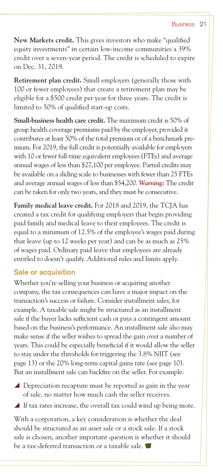**New Markets credit.** This gives investors who make "qualified equity investments" in certain low-income communities a 39% credit over a seven-year period. The credit is scheduled to expire on Dec. 31, 2019.

**Retirement plan credit.** Small employers (generally those with 100 or fewer employees) that create a retirement plan may be eligible for a \$500 credit per year for three years. The credit is limited to 50% of qualified start-up costs.

**Small-business health care credit.** The maximum credit is 50% of group health coverage premiums paid by the employer, provided it contributes at least 50% of the total premium or of a benchmark premium. For 2019, the full credit is potentially available for employers with 10 or fewer full-time equivalent employees (FTEs) and average annual wages of less than \$27,100 per employee. Partial credits may be available on a sliding scale to businesses with fewer than 25 FTEs and average annual wages of less than \$54,200. *Warning:* The credit can be taken for only two years, and they must be consecutive.

**Family medical leave credit.** For 2018 and 2019, the TCJA has created a tax credit for qualifying employers that begin providing paid family and medical leave to their employees. The credit is equal to a minimum of 12.5% of the employee's wages paid during that leave (up to 12 weeks per year) and can be as much as 25% of wages paid. Ordinary paid leave that employees are already entitled to doesn't qualify. Additional rules and limits apply.

#### **Sale or acquisition**

Whether you're selling your business or acquiring another company, the tax consequences can have a major impact on the transaction's success or failure. Consider installment sales, for example. A taxable sale might be structured as an installment sale if the buyer lacks sufficient cash or pays a contingent amount based on the business's performance. An installment sale also may make sense if the seller wishes to spread the gain over a number of years. This could be especially beneficial if it would allow the seller to stay under the thresholds for triggering the 3.8% NIIT (see page 13) or the 20% long-term capital gains rate (see page 10). But an installment sale can backfire on the seller. For example:

- $\blacktriangle$  Depreciation recapture must be reported as gain in the year of sale, no matter how much cash the seller receives.
- $\blacktriangle$  If tax rates increase, the overall tax could wind up being more.

With a corporation, a key consideration is whether the deal should be structured as an asset sale or a stock sale. If a stock sale is chosen, another important question is whether it should be a tax-deferred transaction or a taxable sale.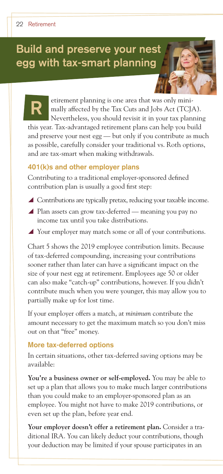# **Build and preserve your nest egg with tax-smart planning**

etirement planning is one area that was only minimally affected by the Tax Cuts and Jobs Act (TCJA). Nevertheless, you should revisit it in your tax planning this year. Tax-advantaged retirement plans can help you build **R**

and preserve your nest egg — but only if you contribute as much as possible, carefully consider your traditional vs. Roth options, and are tax-smart when making withdrawals.

#### **401(k)s and other employer plans**

Contributing to a traditional employer-sponsored defined contribution plan is usually a good first step:

- $\blacktriangle$  Contributions are typically pretax, reducing your taxable income.
- ▲ Plan assets can grow tax-deferred meaning you pay no income tax until you take distributions.
- $\blacktriangle$  Your employer may match some or all of your contributions.

Chart 5 shows the 2019 employee contribution limits. Because of tax-deferred compounding, increasing your contributions sooner rather than later can have a significant impact on the size of your nest egg at retirement. Employees age 50 or older can also make "catch-up" contributions, however. If you didn't contribute much when you were younger, this may allow you to partially make up for lost time.

If your employer offers a match, at *minimum* contribute the amount necessary to get the maximum match so you don't miss out on that "free" money.

#### **More tax-deferred options**

In certain situations, other tax-deferred saving options may be available:

**You're a business owner or self-employed.** You may be able to set up a plan that allows you to make much larger contributions than you could make to an employer-sponsored plan as an employee. You might not have to make 2019 contributions, or even set up the plan, before year end.

**Your employer doesn't offer a retirement plan.** Consider a traditional IRA. You can likely deduct your contributions, though your deduction may be limited if your spouse participates in an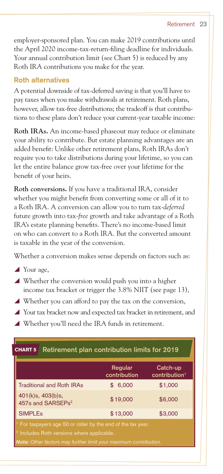employer-sponsored plan. You can make 2019 contributions until the April 2020 income-tax-return-filing deadline for individuals. Your annual contribution limit (see Chart 5) is reduced by any Roth IRA contributions you make for the year.

## **Roth alternatives**

A potential downside of tax-deferred saving is that you'll have to pay taxes when you make withdrawals at retirement. Roth plans, however, allow tax-free distributions; the tradeoff is that contributions to these plans don't reduce your current-year taxable income:

**Roth IRAs.** An income-based phaseout may reduce or eliminate your ability to contribute. But estate planning advantages are an added benefit: Unlike other retirement plans, Roth IRAs don't require you to take distributions during your lifetime, so you can let the entire balance grow tax-free over your lifetime for the benefit of your heirs.

**Roth conversions.** If you have a traditional IRA, consider whether you might benefit from converting some or all of it to a Roth IRA. A conversion can allow you to turn tax-*deferred* future growth into tax-*free* growth and take advantage of a Roth IRA's estate planning benefits. There's no income-based limit on who can convert to a Roth IRA. But the converted amount is taxable in the year of the conversion.

Whether a conversion makes sense depends on factors such as:

- $\blacktriangle$  Your age,
- $\blacktriangle$  Whether the conversion would push you into a higher income tax bracket or trigger the 3.8% NIIT (see page 13),
- $\blacktriangle$  Whether you can afford to pay the tax on the conversion,
- Your tax bracket now and expected tax bracket in retirement, and
- $\blacktriangle$  Whether you'll need the IRA funds in retirement.

| Retirement plan contribution limits for 2019<br><b>CHART 5</b>                                                                                                                                             |                         |                                       |  |
|------------------------------------------------------------------------------------------------------------------------------------------------------------------------------------------------------------|-------------------------|---------------------------------------|--|
|                                                                                                                                                                                                            | Regular<br>contribution | Catch-up<br>contribution <sup>1</sup> |  |
| <b>Traditional and Roth IRAs</b><br>\$1,000<br>6,000                                                                                                                                                       |                         |                                       |  |
| 401(k)s, 403(b)s,<br>\$6,000<br>\$19,000<br>457s and SARSEPs <sup>2</sup>                                                                                                                                  |                         |                                       |  |
| <b>SIMPLEs</b>                                                                                                                                                                                             | \$13,000                | \$3,000                               |  |
| <sup>1</sup> For taxpayers age 50 or older by the end of the tax year.<br><sup>2</sup> Includes Roth versions where applicable.<br><b>Note:</b> Other factors may further limit your maximum contribution. |                         |                                       |  |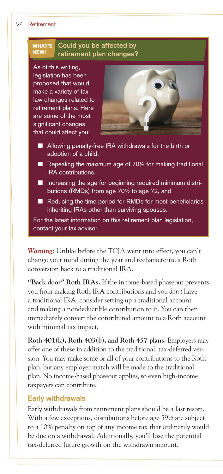#### 24 Retirement



*Warning:* Unlike before the TCJA went into effect, you can't change your mind during the year and recharacterize a Roth conversion back to a traditional IRA.

**"Back door" Roth IRAs.** If the income-based phaseout prevents you from making Roth IRA contributions and you *don't* have a traditional IRA, consider setting up a traditional account and making a nondeductible contribution to it. You can then immediately convert the contributed amount to a Roth account with minimal tax impact.

**Roth 401(k), Roth 403(b), and Roth 457 plans.** Employers may offer one of these in addition to the traditional, tax-deferred version. You may make some or all of your contributions to the Roth plan, but any employer match will be made to the traditional plan. No income-based phaseout applies, so even high-income taxpayers can contribute.

#### **Early withdrawals**

Early withdrawals from retirement plans should be a last resort. With a few exceptions, distributions before age 59<sup>1</sup>/<sub>2</sub> are subject to a 10% penalty on top of any income tax that ordinarily would be due on a withdrawal. Additionally, you'll lose the potential tax-deferred future growth on the withdrawn amount.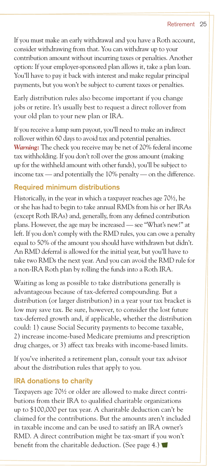If you must make an early withdrawal and you have a Roth account, consider withdrawing from that. You can withdraw up to your contribution amount without incurring taxes or penalties. Another option: If your employer-sponsored plan allows it, take a plan loan. You'll have to pay it back with interest and make regular principal payments, but you won't be subject to current taxes or penalties.

Early distribution rules also become important if you change jobs or retire. It's usually best to request a direct rollover from your old plan to your new plan or IRA.

If you receive a lump sum payout, you'll need to make an indirect rollover within 60 days to avoid tax and potential penalties. *Warning:* The check you receive may be net of 20% federal income tax withholding. If you don't roll over the gross amount (making up for the withheld amount with other funds), you'll be subject to income tax — and potentially the 10% penalty — on the difference.

#### **Required minimum distributions**

Historically, in the year in which a taxpayer reaches age 70½, he or she has had to begin to take annual RMDs from his or her IRAs (except Roth IRAs) and, generally, from any defined contribution plans. However, the age may be increased — see "What's new!" at left. If you don't comply with the RMD rules, you can owe a penalty equal to 50% of the amount you should have withdrawn but didn't. An RMD deferral is allowed for the initial year, but you'll have to take two RMDs the next year. And you can avoid the RMD rule for a non-IRA Roth plan by rolling the funds into a Roth IRA.

Waiting as long as possible to take distributions generally is advantageous because of tax-deferred compounding. But a distribution (or larger distribution) in a year your tax bracket is low may save tax. Be sure, however, to consider the lost future tax-deferred growth and, if applicable, whether the distribution could: 1) cause Social Security payments to become taxable, 2) increase income-based Medicare premiums and prescription drug charges, or 3) affect tax breaks with income-based limits.

If you've inherited a retirement plan, consult your tax advisor about the distribution rules that apply to you.

## **IRA donations to charity**

Taxpayers age 70½ or older are allowed to make direct contributions from their IRA to qualified charitable organizations up to \$100,000 per tax year. A charitable deduction can't be claimed for the contributions. But the amounts aren't included in taxable income and can be used to satisfy an IRA owner's RMD. A direct contribution might be tax-smart if you won't benefit from the charitable deduction. (See page 4.)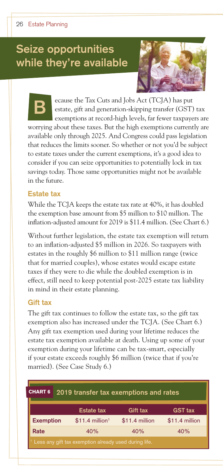# **Seize opportunities while they're available**



ecause the Tax Cuts and Jobs Act (TCJA) has put estate, gift and generation-skipping transfer (GST) tax exemptions at record-high levels, far fewer taxpayers are worrying about these taxes. But the high exemptions currently are available only through 2025. And Congress could pass legislation that reduces the limits sooner. So whether or not you'd be subject to estate taxes under the current exemptions, it's a good idea to consider if you can seize opportunities to potentially lock in tax savings today. Those same opportunities might not be available in the future. **B**

#### **Estate tax**

While the TCJA keeps the estate tax rate at 40%, it has doubled the exemption base amount from \$5 million to \$10 million. The inflation-adjusted amount for 2019 is \$11.4 million. (See Chart 6.)

Without further legislation, the estate tax exemption will return to an inflation-adjusted \$5 million in 2026. So taxpayers with estates in the roughly \$6 million to \$11 million range (twice that for married couples), whose estates would escape estate taxes if they were to die while the doubled exemption is in effect, still need to keep potential post-2025 estate tax liability in mind in their estate planning.

#### **Gift tax**

The gift tax continues to follow the estate tax, so the gift tax exemption also has increased under the TCJA. (See Chart 6.) Any gift tax exemption used during your lifetime reduces the estate tax exemption available at death. Using up some of your exemption during your lifetime can be tax-smart, especially if your estate exceeds roughly \$6 million (twice that if you're married). (See Case Study 6.)

| <b>CHART 6</b><br>2019 transfer tax exemptions and rates |  |                              |                |                |
|----------------------------------------------------------|--|------------------------------|----------------|----------------|
|                                                          |  | <b>Estate tax</b>            | Gift tax       | <b>GST tax</b> |
| <b>Exemption</b>                                         |  | $$11.4$ million <sup>1</sup> | \$11.4 million | \$11.4 million |
| Rate                                                     |  | 40%                          | 40%            | 40%            |
| Less any gift tax exemption already used during life.    |  |                              |                |                |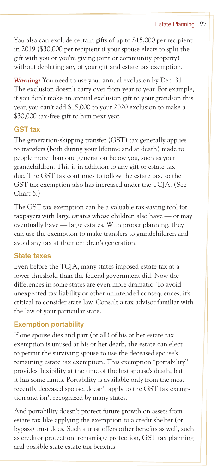You also can exclude certain gifts of up to \$15,000 per recipient in 2019 (\$30,000 per recipient if your spouse elects to split the gift with you or you're giving joint or community property) without depleting any of your gift and estate tax exemption.

*Warning:* You need to use your annual exclusion by Dec. 31. The exclusion doesn't carry over from year to year. For example, if you don't make an annual exclusion gift to your grandson this year, you can't add \$15,000 to your 2020 exclusion to make a \$30,000 tax-free gift to him next year.

#### **GST tax**

The generation-skipping transfer (GST) tax generally applies to transfers (both during your lifetime and at death) made to people more than one generation below you, such as your grandchildren. This is in addition to any gift or estate tax due. The GST tax continues to follow the estate tax, so the GST tax exemption also has increased under the TCJA. (See Chart 6.)

The GST tax exemption can be a valuable tax-saving tool for taxpayers with large estates whose children also have — or may eventually have — large estates. With proper planning, they can use the exemption to make transfers to grandchildren and avoid any tax at their children's generation.

#### **State taxes**

Even before the TCJA, many states imposed estate tax at a lower threshold than the federal government did. Now the differences in some states are even more dramatic. To avoid unexpected tax liability or other unintended consequences, it's critical to consider state law. Consult a tax advisor familiar with the law of your particular state.

## **Exemption portability**

If one spouse dies and part (or all) of his or her estate tax exemption is unused at his or her death, the estate can elect to permit the surviving spouse to use the deceased spouse's remaining estate tax exemption. This exemption "portability" provides flexibility at the time of the first spouse's death, but it has some limits. Portability is available only from the most recently deceased spouse, doesn't apply to the GST tax exemption and isn't recognized by many states.

And portability doesn't protect future growth on assets from estate tax like applying the exemption to a credit shelter (or bypass) trust does. Such a trust offers other benefits as well, such as creditor protection, remarriage protection, GST tax planning and possible state estate tax benefits.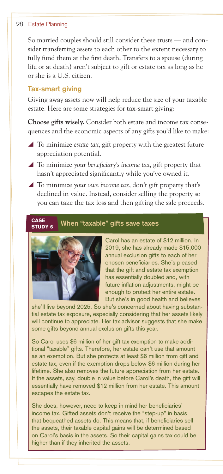#### 28 Estate Planning

So married couples should still consider these trusts — and consider transferring assets to each other to the extent necessary to fully fund them at the first death. Transfers to a spouse (during life or at death) aren't subject to gift or estate tax as long as he or she is a U.S. citizen.

#### **Tax-smart giving**

Giving away assets now will help reduce the size of your taxable estate. Here are some strategies for tax-smart giving:

**Choose gifts wisely.** Consider both estate and income tax consequences and the economic aspects of any gifts you'd like to make:

- $\blacktriangle$  To minimize *estate tax*, gift property with the greatest future appreciation potential.
- ▲ To minimize your beneficiary's income tax, gift property that hasn't appreciated significantly while you've owned it.
- ▲ To minimize *your own income tax*, don't gift property that's declined in value. Instead, consider selling the property so you can take the tax loss and then gifting the sale proceeds.

#### **CASE** When "taxable" gifts save taxes STUDY 6



Carol has an estate of \$12 million. In 2019, she has already made \$15,000 annual exclusion gifts to each of her chosen beneficiaries. She's pleased that the gift and estate tax exemption has essentially doubled and, with future inflation adjustments, might be enough to protect her entire estate. But she's in good health and believes

she'll live beyond 2025. So she's concerned about having substantial estate tax exposure, especially considering that her assets likely will continue to appreciate. Her tax advisor suggests that she make some gifts beyond annual exclusion gifts this year.

So Carol uses \$6 million of her gift tax exemption to make additional "taxable" gifts. Therefore, her estate can't use that amount as an exemption. But she protects at least \$6 million from gift and estate tax, even if the exemption drops below \$6 million during her lifetime. She also removes the future appreciation from her estate. If the assets, say, double in value before Carol's death, the gift will essentially have removed \$12 million from her estate. This amount escapes the estate tax.

She does, however, need to keep in mind her beneficiaries' income tax. Gifted assets don't receive the "step-up" in basis that bequeathed assets do. This means that, if beneficiaries sell the assets, their taxable capital gains will be determined based on Carol's basis in the assets. So their capital gains tax could be higher than if they inherited the assets.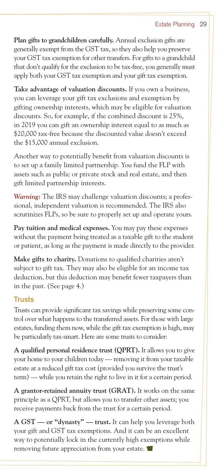#### Estate Planning 29

**Plan gifts to grandchildren carefully.** Annual exclusion gifts are generally exempt from the GST tax, so they also help you preserve your GST tax exemption for other transfers. For gifts to a grandchild that don't qualify for the exclusion to be tax-free, you generally must apply both your GST tax exemption and your gift tax exemption.

**Take advantage of valuation discounts.** If you own a business, you can leverage your gift tax exclusions and exemption by gifting ownership interests, which may be eligible for valuation discounts. So, for example, if the combined discount is 25%, in 2019 you can gift an ownership interest equal to as much as \$20,000 tax-free because the discounted value doesn't exceed the \$15,000 annual exclusion.

Another way to potentially benefit from valuation discounts is to set up a family limited partnership. You fund the FLP with assets such as public or private stock and real estate, and then gift limited partnership interests.

*Warning:* The IRS may challenge valuation discounts; a professional, independent valuation is recommended. The IRS also scrutinizes FLPs, so be sure to properly set up and operate yours.

**Pay tuition and medical expenses.** You may pay these expenses without the payment being treated as a taxable gift to the student or patient, as long as the payment is made directly to the provider.

**Make gifts to charity.** Donations to qualified charities aren't subject to gift tax. They may also be eligible for an income tax deduction, but this deduction may benefit fewer taxpayers than in the past. (See page 4.)

#### **Trusts**

Trusts can provide significant tax savings while preserving some control over what happens to the transferred assets. For those with large estates, funding them now, while the gift tax exemption is high, may be particularly tax-smart. Here are some trusts to consider:

**A qualified personal residence trust (QPRT).** It allows you to give your home to your children today — removing it from your taxable estate at a reduced gift tax cost (provided you survive the trust's term) — while you retain the right to live in it for a certain period.

**A grantor-retained annuity trust (GRAT).** It works on the same principle as a QPRT, but allows you to transfer other assets; you receive payments back from the trust for a certain period.

**A GST — or "dynasty" — trust.** It can help you leverage both your gift and GST tax exemptions. And it can be an excellent way to potentially lock in the currently high exemptions while removing future appreciation from your estate.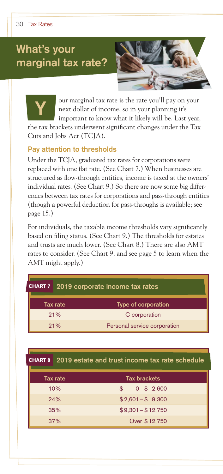**Y**

# **What's your marginal tax rate?**



our marginal tax rate is the rate you'll pay on your next dollar of income, so in your planning it's important to know what it likely will be. Last year,

the tax brackets underwent significant changes under the Tax Cuts and Jobs Act (TCJA).

#### **Pay attention to thresholds**

Under the TCJA, graduated tax rates for corporations were replaced with one flat rate. (See Chart 7.) When businesses are structured as flow-through entities, income is taxed at the owners' individual rates. (See Chart 9.) So there are now some big differences between tax rates for corporations and pass-through entities (though a powerful deduction for pass-throughs is available; see page 15.)

For individuals, the taxable income thresholds vary significantly based on filing status. (See Chart 9.) The thresholds for estates and trusts are much lower. (See Chart 8.) There are also AMT rates to consider. (See Chart 9, and see page 5 to learn when the AMT might apply.)

| <b>CHART 7</b><br>2019 corporate income tax rates |                 |                                                |
|---------------------------------------------------|-----------------|------------------------------------------------|
|                                                   | <b>Tax rate</b> | <b>Type of corporation</b>                     |
|                                                   | 21%             | C corporation                                  |
|                                                   | 21%             | Personal service corporation                   |
|                                                   |                 |                                                |
| <b>CHART 8</b>                                    |                 | 2019 estate and trust income tax rate schedule |
| Tax rate<br><b>Tax brackets</b>                   |                 |                                                |

| Tax rate | <b>Tax brackets</b>          |
|----------|------------------------------|
| 10%      | $0 - $2,600$<br>$\mathbf{s}$ |
| 24%      | $$2,601 - $9,300$            |
| 35%      | $$9,301 - $12,750$           |
| 37%      | Over \$12,750                |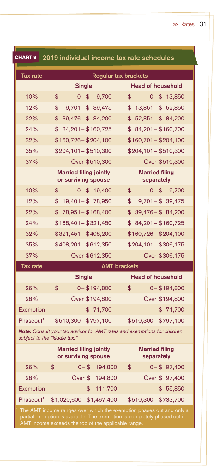| <b>CHART 9</b>                                                                                                                                                                                           | 2019 individual income tax rate schedules            |                                     |  |  |  |
|----------------------------------------------------------------------------------------------------------------------------------------------------------------------------------------------------------|------------------------------------------------------|-------------------------------------|--|--|--|
|                                                                                                                                                                                                          | <b>Tax rate</b><br><b>Regular tax brackets</b>       |                                     |  |  |  |
|                                                                                                                                                                                                          | <b>Single</b>                                        | <b>Head of household</b>            |  |  |  |
| 10%                                                                                                                                                                                                      | \$<br>$0 - $$<br>9,700                               | \$<br>$0 - $13,850$                 |  |  |  |
| 12%                                                                                                                                                                                                      | \$<br>$9,701 - $39,475$                              | $$13,851-\$52,850$                  |  |  |  |
| 22%                                                                                                                                                                                                      | \$<br>$39,476 - $84,200$                             | $$52,851-\$84,200$                  |  |  |  |
| 24%                                                                                                                                                                                                      | $$84,201 - $160,725$                                 | $$84,201 - $160,700$                |  |  |  |
| 32%                                                                                                                                                                                                      | $$160,726 - $204,100$                                | $$160,701 - $204,100$               |  |  |  |
| 35%                                                                                                                                                                                                      | $$204,101 - $510,300$                                | $$204,101 - $510,300$               |  |  |  |
| 37%                                                                                                                                                                                                      | Over \$510,300                                       | Over \$510,300                      |  |  |  |
|                                                                                                                                                                                                          | <b>Married filing jointly</b><br>or surviving spouse | <b>Married filing</b><br>separately |  |  |  |
| 10%                                                                                                                                                                                                      | \$<br>$0 - $19,400$                                  | \$<br>$0 - $$<br>9,700              |  |  |  |
| 12%                                                                                                                                                                                                      | $$19,401 - $78,950$                                  | \$<br>$9,701 - $39,475$             |  |  |  |
| 22%                                                                                                                                                                                                      | $$78,951 - $168,400$                                 | $$39,476 - $84,200$                 |  |  |  |
| 24%                                                                                                                                                                                                      | $$168,401 - $321,450$                                | $$84,201-\$160,725$                 |  |  |  |
| 32%                                                                                                                                                                                                      | $$321,451 - $408,200$                                | $$160,726 - $204,100$               |  |  |  |
| 35%                                                                                                                                                                                                      | $$408,201 - $612,350$                                | $$204,101 - $306,175$               |  |  |  |
| 37%                                                                                                                                                                                                      | Over \$612,350                                       | Over \$306,175                      |  |  |  |
| <b>Tax rate</b>                                                                                                                                                                                          |                                                      | <b>AMT brackets</b>                 |  |  |  |
|                                                                                                                                                                                                          | <b>Single</b>                                        | <b>Head of household</b>            |  |  |  |
| 26%                                                                                                                                                                                                      | \$<br>$0 - $194,800$                                 | \$<br>$0 - $194,800$                |  |  |  |
| 28%                                                                                                                                                                                                      | Over \$194,800                                       | Over \$194,800                      |  |  |  |
| Exemption                                                                                                                                                                                                | \$71,700                                             | \$71,700                            |  |  |  |
| Phaseout <sup>1</sup>                                                                                                                                                                                    | \$510,300 - \$797,100                                | \$510,300 - \$797,100               |  |  |  |
| Note: Consult your tax advisor for AMT rates and exemptions for children<br>subject to the "kiddie tax."                                                                                                 |                                                      |                                     |  |  |  |
|                                                                                                                                                                                                          | <b>Married filing jointly</b><br>or surviving spouse | <b>Married filing</b><br>separately |  |  |  |
| 26%                                                                                                                                                                                                      | \$<br>$0 - $$<br>194,800                             | \$<br>$0 - $97,400$                 |  |  |  |
| 28%                                                                                                                                                                                                      | Over \$<br>194,800                                   | Over \$ 97,400                      |  |  |  |
| Exemption                                                                                                                                                                                                | \$<br>111,700                                        | \$55,850                            |  |  |  |
| Phaseout <sup>1</sup>                                                                                                                                                                                    | \$1,020,600 - \$1,467,400                            | \$510,300 - \$733,700               |  |  |  |
| The AMT income ranges over which the exemption phases out and only a<br>partial exemption is available. The exemption is completely phased out if<br>AMT income exceeds the top of the applicable range. |                                                      |                                     |  |  |  |

▀